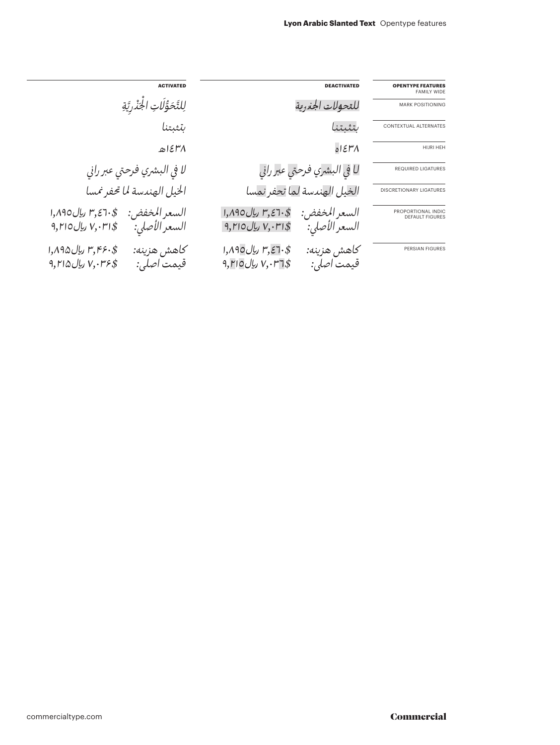| <b>OPENTYPE FEATURES</b><br><b>FAMILY WIDE</b> | <b>DEACTIVATED</b>                                                                   | <b>ACTIVATED</b>                                                                        |  |
|------------------------------------------------|--------------------------------------------------------------------------------------|-----------------------------------------------------------------------------------------|--|
| <b>MARK POSITIONING</b>                        | للقحولات الجذرية                                                                     | لِلتَّحَوُّلَاتِ الجَنْرِيَّةِ                                                          |  |
| CONTEXTUAL ALTERNATES                          | لتثبتنا                                                                              | لنتىتنا                                                                                 |  |
| HIJRI HEH                                      | 015H                                                                                 | ۴۸ا۱۵                                                                                   |  |
| <b>REQUIRED LIGATURES</b>                      | ل <b>ا في البشري فرحتي عبر راني</b>                                                  | لا في البشري فرحتي عبر راني                                                             |  |
| <b>DISCRETIONARY LIGATURES</b>                 | الخيل الهندسة لما تحفر نمسا                                                          | الخيل الهندسة لما تحفر نمسا                                                             |  |
| PROPORTIONAL INDIC<br><b>DEFAULT FIGURES</b>   | \$۳٫٤٦٠ ريال ١,٨٩٥<br>السعر المخفض:<br>السعر الأصلي:<br>اس $V,\cdot$ ال ۱۲۱۰ ریال ۱۲ | \$.7.3,٣ ريال ١,٨٩٥<br>السعر المخفض:<br>السعر الأصلي:<br>$9,$ ۲۱ ریال $V,$ ۲۱۰ ریال     |  |
| <b>PERSIAN FIGURES</b>                         | \$۳٫۶٦٠ ریال ١,٨٩٥<br>كاهش هزينه:<br>قيمت اصلي:<br>$9,$ ۲۱ ریال $V,\cdot$ ۲۱ وبال    | \$۳٫۴۶۰ ریال ۱٫۸۹۵<br>كاهش هزينه:<br>$9, Y \land 0$ ریال ۲۱۵ $\forall y.$<br>قيمت اصلي: |  |